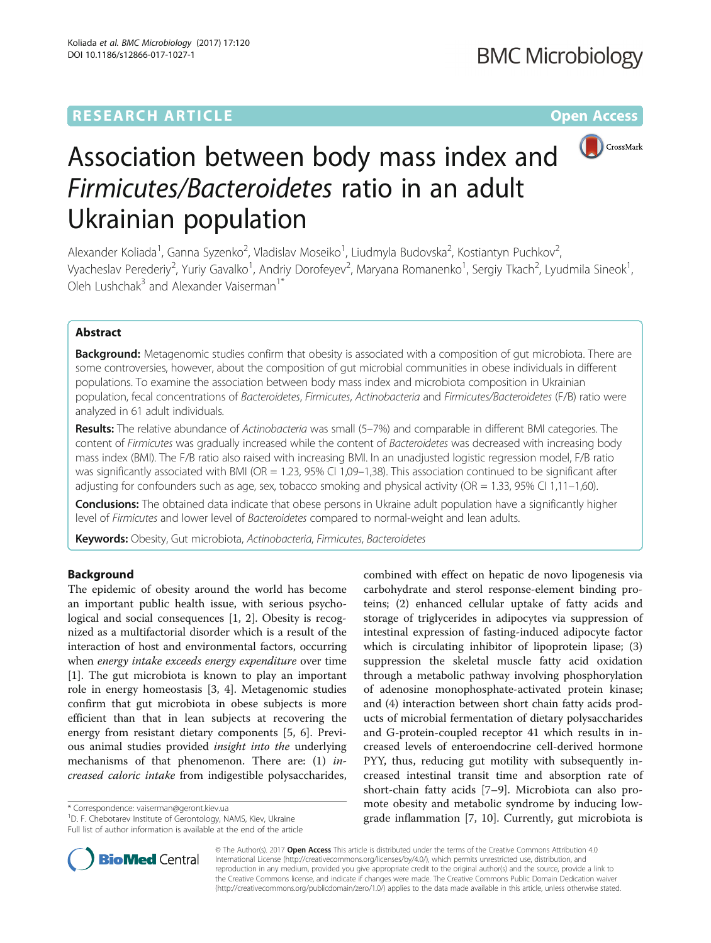# **RESEARCH ARTICLE Example 2014 12:30 The Contract of Contract ACCESS**



# Association between body mass index and Firmicutes/Bacteroidetes ratio in an adult Ukrainian population

Alexander Koliada<sup>1</sup>, Ganna Syzenko<sup>2</sup>, Vladislav Moseiko<sup>1</sup>, Liudmyla Budovska<sup>2</sup>, Kostiantyn Puchkov<sup>2</sup> , Vyacheslav Perederiy<sup>2</sup>, Yuriy Gavalko<sup>1</sup>, Andriy Dorofeyev<sup>2</sup>, Maryana Romanenko<sup>1</sup>, Sergiy Tkach<sup>2</sup>, Lyudmila Sineok<sup>1</sup> , Oleh Lushchak<sup>3</sup> and Alexander Vaiserman<sup>1</sup>

# Abstract

Background: Metagenomic studies confirm that obesity is associated with a composition of gut microbiota. There are some controversies, however, about the composition of gut microbial communities in obese individuals in different populations. To examine the association between body mass index and microbiota composition in Ukrainian population, fecal concentrations of Bacteroidetes, Firmicutes, Actinobacteria and Firmicutes/Bacteroidetes (F/B) ratio were analyzed in 61 adult individuals.

Results: The relative abundance of Actinobacteria was small (5-7%) and comparable in different BMI categories. The content of Firmicutes was gradually increased while the content of Bacteroidetes was decreased with increasing body mass index (BMI). The F/B ratio also raised with increasing BMI. In an unadjusted logistic regression model, F/B ratio was significantly associated with BMI (OR = 1.23, 95% CI 1,09-1,38). This association continued to be significant after adjusting for confounders such as age, sex, tobacco smoking and physical activity (OR = 1.33, 95% CI 1,11–1,60).

Conclusions: The obtained data indicate that obese persons in Ukraine adult population have a significantly higher level of Firmicutes and lower level of Bacteroidetes compared to normal-weight and lean adults.

Keywords: Obesity, Gut microbiota, Actinobacteria, Firmicutes, Bacteroidetes

# Background

The epidemic of obesity around the world has become an important public health issue, with serious psychological and social consequences [[1, 2\]](#page-4-0). Obesity is recognized as a multifactorial disorder which is a result of the interaction of host and environmental factors, occurring when energy intake exceeds energy expenditure over time [[1\]](#page-4-0). The gut microbiota is known to play an important role in energy homeostasis [[3, 4\]](#page-4-0). Metagenomic studies confirm that gut microbiota in obese subjects is more efficient than that in lean subjects at recovering the energy from resistant dietary components [\[5](#page-4-0), [6\]](#page-4-0). Previous animal studies provided insight into the underlying mechanisms of that phenomenon. There are: (1) increased caloric intake from indigestible polysaccharides,

\* Correspondence: [vaiserman@geront.kiev.ua](mailto:vaiserman@geront.kiev.ua) <sup>1</sup>

<sup>1</sup>D. F. Chebotarev Institute of Gerontology, NAMS, Kiev, Ukraine Full list of author information is available at the end of the article





© The Author(s). 2017 **Open Access** This article is distributed under the terms of the Creative Commons Attribution 4.0 International License [\(http://creativecommons.org/licenses/by/4.0/](http://creativecommons.org/licenses/by/4.0/)), which permits unrestricted use, distribution, and reproduction in any medium, provided you give appropriate credit to the original author(s) and the source, provide a link to the Creative Commons license, and indicate if changes were made. The Creative Commons Public Domain Dedication waiver [\(http://creativecommons.org/publicdomain/zero/1.0/](http://creativecommons.org/publicdomain/zero/1.0/)) applies to the data made available in this article, unless otherwise stated.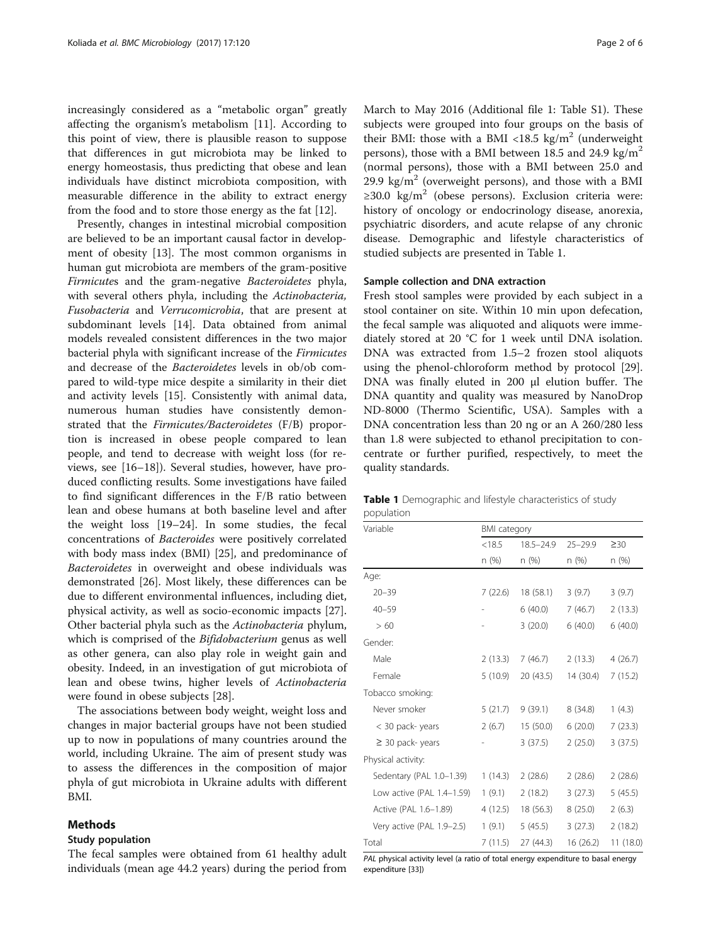<span id="page-1-0"></span>increasingly considered as a "metabolic organ" greatly affecting the organism's metabolism [[11\]](#page-4-0). According to this point of view, there is plausible reason to suppose that differences in gut microbiota may be linked to energy homeostasis, thus predicting that obese and lean individuals have distinct microbiota composition, with measurable difference in the ability to extract energy from the food and to store those energy as the fat [\[12\]](#page-4-0).

Presently, changes in intestinal microbial composition are believed to be an important causal factor in development of obesity [[13\]](#page-5-0). The most common organisms in human gut microbiota are members of the gram-positive Firmicutes and the gram-negative Bacteroidetes phyla, with several others phyla, including the Actinobacteria, Fusobacteria and Verrucomicrobia, that are present at subdominant levels [\[14](#page-5-0)]. Data obtained from animal models revealed consistent differences in the two major bacterial phyla with significant increase of the Firmicutes and decrease of the Bacteroidetes levels in ob/ob compared to wild-type mice despite a similarity in their diet and activity levels [[15\]](#page-5-0). Consistently with animal data, numerous human studies have consistently demonstrated that the Firmicutes/Bacteroidetes (F/B) proportion is increased in obese people compared to lean people, and tend to decrease with weight loss (for reviews, see [[16](#page-5-0)–[18](#page-5-0)]). Several studies, however, have produced conflicting results. Some investigations have failed to find significant differences in the F/B ratio between lean and obese humans at both baseline level and after the weight loss [[19](#page-5-0)–[24](#page-5-0)]. In some studies, the fecal concentrations of Bacteroides were positively correlated with body mass index (BMI) [\[25\]](#page-5-0), and predominance of Bacteroidetes in overweight and obese individuals was demonstrated [[26\]](#page-5-0). Most likely, these differences can be due to different environmental influences, including diet, physical activity, as well as socio-economic impacts [\[27](#page-5-0)]. Other bacterial phyla such as the Actinobacteria phylum, which is comprised of the *Bifidobacterium* genus as well as other genera, can also play role in weight gain and obesity. Indeed, in an investigation of gut microbiota of lean and obese twins, higher levels of Actinobacteria were found in obese subjects [\[28](#page-5-0)].

The associations between body weight, weight loss and changes in major bacterial groups have not been studied up to now in populations of many countries around the world, including Ukraine. The aim of present study was to assess the differences in the composition of major phyla of gut microbiota in Ukraine adults with different BMI.

# Methods

# Study population

The fecal samples were obtained from 61 healthy adult individuals (mean age 44.2 years) during the period from March to May 2016 (Additional file [1:](#page-4-0) Table S1). These subjects were grouped into four groups on the basis of their BMI: those with a BMI <18.5 kg/m<sup>2</sup> (underweight persons), those with a BMI between 18.5 and 24.9 kg/ $m^2$ (normal persons), those with a BMI between 25.0 and 29.9 kg/m<sup>2</sup> (overweight persons), and those with a BMI ≥30.0 kg/m<sup>2</sup> (obese persons). Exclusion criteria were: history of oncology or endocrinology disease, anorexia, psychiatric disorders, and acute relapse of any chronic disease. Demographic and lifestyle characteristics of studied subjects are presented in Table 1.

# Sample collection and DNA extraction

Fresh stool samples were provided by each subject in a stool container on site. Within 10 min upon defecation, the fecal sample was aliquoted and aliquots were immediately stored at 20 °C for 1 week until DNA isolation. DNA was extracted from 1.5–2 frozen stool aliquots using the phenol-chloroform method by protocol [\[29](#page-5-0)]. DNA was finally eluted in 200 μl elution buffer. The DNA quantity and quality was measured by NanoDrop ND-8000 (Thermo Scientific, USA). Samples with a DNA concentration less than 20 ng or an A 260/280 less than 1.8 were subjected to ethanol precipitation to concentrate or further purified, respectively, to meet the quality standards.

|            | Table 1 Demographic and lifestyle characteristics of study |  |  |  |
|------------|------------------------------------------------------------|--|--|--|
| population |                                                            |  |  |  |

| Variable                  | <b>BMI</b> category |               |             |           |  |
|---------------------------|---------------------|---------------|-------------|-----------|--|
|                           | < 18.5              | $18.5 - 24.9$ | $25 - 29.9$ | $\geq$ 30 |  |
|                           | n (%)               | n (%)         | n (%)       | n (%)     |  |
| Age:                      |                     |               |             |           |  |
| $20 - 39$                 | 7(22.6)             | 18 (58.1)     | 3(9.7)      | 3(9.7)    |  |
| $40 - 59$                 |                     | 6(40.0)       | 7(46.7)     | 2(13.3)   |  |
| >60                       |                     | 3(20.0)       | 6(40.0)     | 6(40.0)   |  |
| Gender:                   |                     |               |             |           |  |
| Male                      | 2(13.3)             | 7 (46.7)      | 2(13.3)     | 4(26.7)   |  |
| Female                    | 5 (10.9)            | 20 (43.5)     | 14 (30.4)   | 7(15.2)   |  |
| Tobacco smoking:          |                     |               |             |           |  |
| Never smoker              | 5(21.7)             | 9(39.1)       | 8(34.8)     | 1(4.3)    |  |
| < 30 pack-years           | 2(6.7)              | 15(50.0)      | 6(20.0)     | 7(23.3)   |  |
| $\geq$ 30 pack-years      |                     | 3(37.5)       | 2(25.0)     | 3(37.5)   |  |
| Physical activity:        |                     |               |             |           |  |
| Sedentary (PAL 1.0-1.39)  | 1(14.3)             | 2(28.6)       | 2(28.6)     | 2(28.6)   |  |
| Low active (PAL 1.4-1.59) | 1(9.1)              | 2(18.2)       | 3(27.3)     | 5(45.5)   |  |
| Active (PAL 1.6-1.89)     | 4 (12.5)            | 18 (56.3)     | 8(25.0)     | 2(6.3)    |  |
| Very active (PAL 1.9-2.5) | 1(9.1)              | 5(45.5)       | 3(27.3)     | 2(18.2)   |  |
| Total                     | 7(11.5)             | 27 (44.3)     | 16 (26.2)   | 11(18.0)  |  |

PAL physical activity level (a ratio of total energy expenditure to basal energy expenditure [\[33](#page-5-0)])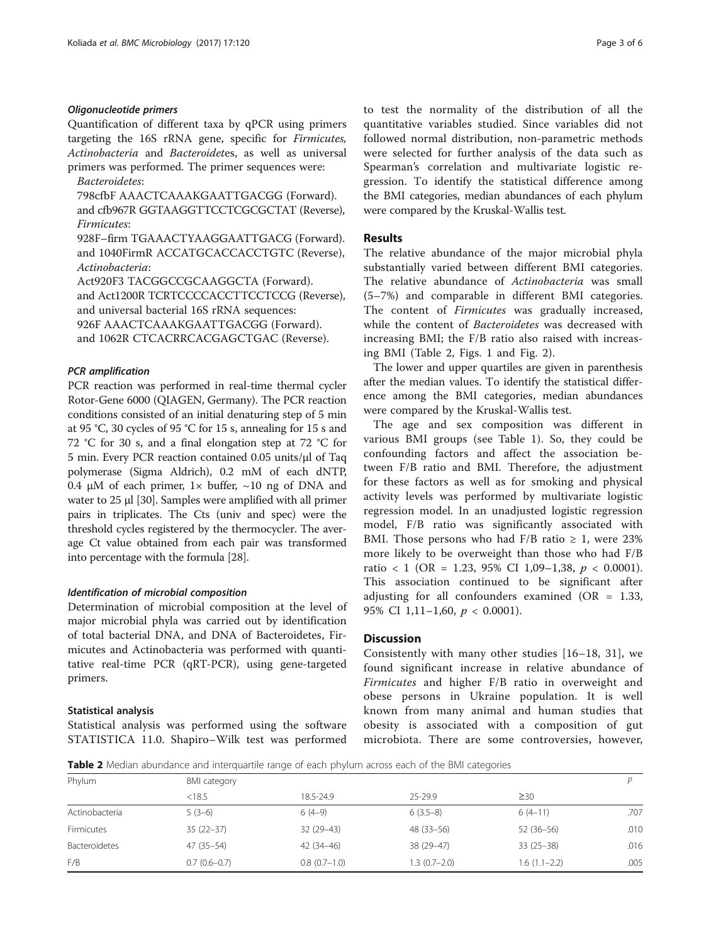# Oligonucleotide primers

Quantification of different taxa by qPCR using primers targeting the 16S rRNA gene, specific for Firmicutes, Actinobacteria and Bacteroidetes, as well as universal primers was performed. The primer sequences were:

Bacteroidetes:

798cfbF AAACTCAAAKGAATTGACGG (Forward). and cfb967R GGTAAGGTTCCTCGCGCTAT (Reverse), Firmicutes:

928F–firm TGAAACTYAAGGAATTGACG (Forward). and 1040FirmR ACCATGCACCACCTGTC (Reverse), Actinobacteria:

Act920F3 TACGGCCGCAAGGCTA (Forward).

and Act1200R TCRTCCCCACCTTCCTCCG (Reverse), and universal bacterial 16S rRNA sequences:

926F AAACTCAAAKGAATTGACGG (Forward).

and 1062R CTCACRRCACGAGCTGAC (Reverse).

# PCR amplification

PCR reaction was performed in real-time thermal cycler Rotor-Gene 6000 (QIAGEN, Germany). The PCR reaction conditions consisted of an initial denaturing step of 5 min at 95 °C, 30 cycles of 95 °C for 15 s, annealing for 15 s and 72 °C for 30 s, and a final elongation step at 72 °C for 5 min. Every PCR reaction contained 0.05 units/μl of Taq polymerase (Sigma Aldrich), 0.2 mM of each dNTP, 0.4 μM of each primer,  $1 \times$  buffer,  $\sim$  10 ng of DNA and water to 25 μl [\[30](#page-5-0)]. Samples were amplified with all primer pairs in triplicates. The Cts (univ and spec) were the threshold cycles registered by the thermocycler. The average Ct value obtained from each pair was transformed into percentage with the formula [[28](#page-5-0)].

# Identification of microbial composition

Determination of microbial composition at the level of major microbial phyla was carried out by identification of total bacterial DNA, and DNA of Bacteroidetes, Firmicutes and Actinobacteria was performed with quantitative real-time PCR (qRT-PCR), using gene-targeted primers.

# Statistical analysis

Statistical analysis was performed using the software STATISTICA 11.0. Shapiro–Wilk test was performed to test the normality of the distribution of all the quantitative variables studied. Since variables did not followed normal distribution, non-parametric methods were selected for further analysis of the data such as Spearman's correlation and multivariate logistic regression. To identify the statistical difference among the BMI categories, median abundances of each phylum were compared by the Kruskal-Wallis test.

# Results

The relative abundance of the major microbial phyla substantially varied between different BMI categories. The relative abundance of Actinobacteria was small (5–7%) and comparable in different BMI categories. The content of *Firmicutes* was gradually increased, while the content of Bacteroidetes was decreased with increasing BMI; the F/B ratio also raised with increasing BMI (Table 2, Figs. [1](#page-3-0) and [Fig. 2\)](#page-3-0).

The lower and upper quartiles are given in parenthesis after the median values. To identify the statistical difference among the BMI categories, median abundances were compared by the Kruskal-Wallis test.

The age and sex composition was different in various BMI groups (see Table [1\)](#page-1-0). So, they could be confounding factors and affect the association between F/B ratio and BMI. Therefore, the adjustment for these factors as well as for smoking and physical activity levels was performed by multivariate logistic regression model. In an unadjusted logistic regression model, F/B ratio was significantly associated with BMI. Those persons who had F/B ratio  $\geq 1$ , were 23% more likely to be overweight than those who had F/B ratio < 1 (OR = 1.23, 95% CI 1,09-1,38,  $p < 0.0001$ ). This association continued to be significant after adjusting for all confounders examined ( $OR = 1.33$ , 95% CI 1,11-1,60,  $p < 0.0001$ ).

# **Discussion**

Consistently with many other studies [[16](#page-5-0)–[18, 31](#page-5-0)], we found significant increase in relative abundance of Firmicutes and higher F/B ratio in overweight and obese persons in Ukraine population. It is well known from many animal and human studies that obesity is associated with a composition of gut microbiota. There are some controversies, however,

Table 2 Median abundance and interquartile range of each phylum across each of the BMI categories

| BMI category   |                |                |                |      |  |
|----------------|----------------|----------------|----------------|------|--|
| < 18.5         | 18.5-24.9      | 25-29.9        | $\geq 30$      |      |  |
| $5(3-6)$       | $6(4-9)$       | $6(3.5-8)$     | $6(4-11)$      | .707 |  |
| $35(22-37)$    | $32(29-43)$    | $48(33 - 56)$  | 52 (36-56)     | .010 |  |
| 47 (35 - 54)   | $42(34-46)$    | 38 (29-47)     | $33(25-38)$    | .016 |  |
| $0.7(0.6-0.7)$ | $0.8(0.7-1.0)$ | $1.3(0.7-2.0)$ | $1.6(1.1-2.2)$ | .005 |  |
|                |                |                |                |      |  |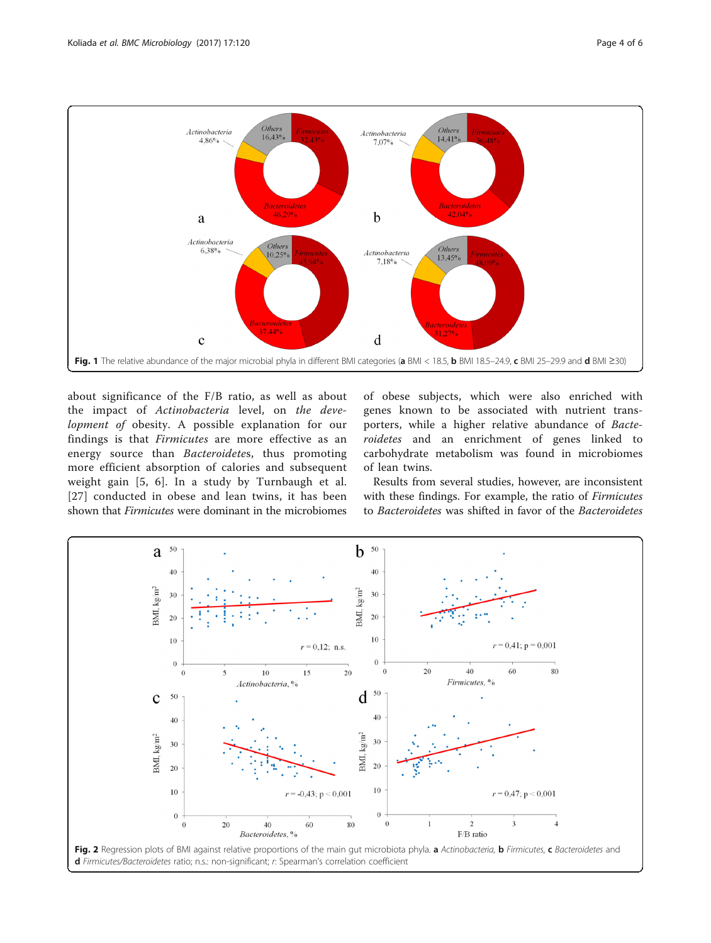<span id="page-3-0"></span>

about significance of the F/B ratio, as well as about the impact of Actinobacteria level, on the development of obesity. A possible explanation for our findings is that Firmicutes are more effective as an energy source than Bacteroidetes, thus promoting more efficient absorption of calories and subsequent weight gain [[5](#page-4-0), [6](#page-4-0)]. In a study by Turnbaugh et al. [[27](#page-5-0)] conducted in obese and lean twins, it has been shown that Firmicutes were dominant in the microbiomes

of obese subjects, which were also enriched with genes known to be associated with nutrient transporters, while a higher relative abundance of Bacteroidetes and an enrichment of genes linked to carbohydrate metabolism was found in microbiomes of lean twins.

Results from several studies, however, are inconsistent with these findings. For example, the ratio of Firmicutes to Bacteroidetes was shifted in favor of the Bacteroidetes

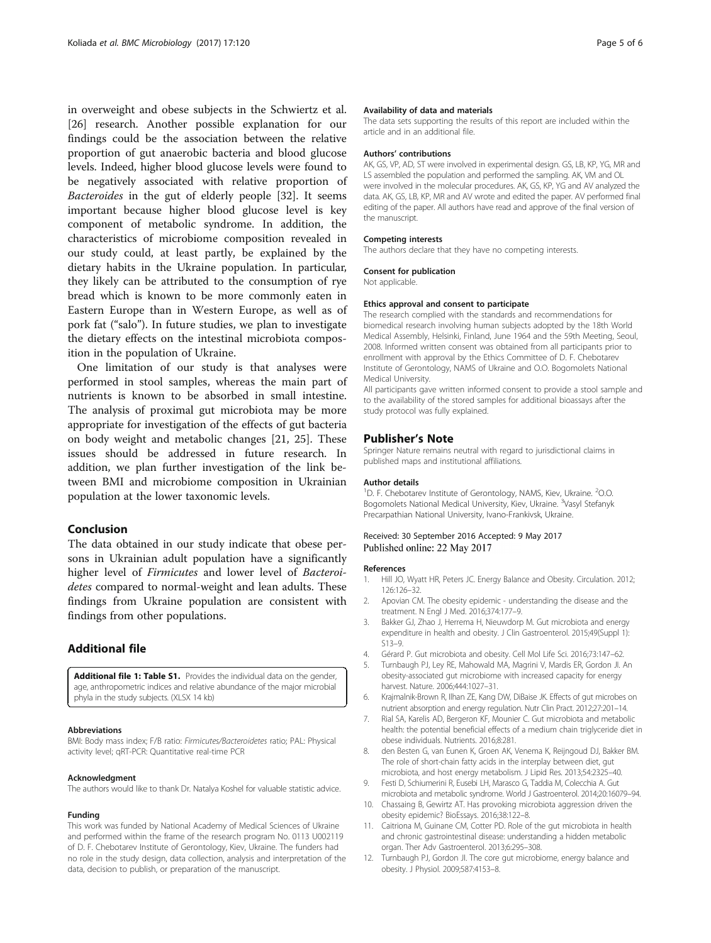<span id="page-4-0"></span>in overweight and obese subjects in the Schwiertz et al. [[26\]](#page-5-0) research. Another possible explanation for our findings could be the association between the relative proportion of gut anaerobic bacteria and blood glucose levels. Indeed, higher blood glucose levels were found to be negatively associated with relative proportion of Bacteroides in the gut of elderly people [\[32\]](#page-5-0). It seems important because higher blood glucose level is key component of metabolic syndrome. In addition, the characteristics of microbiome composition revealed in our study could, at least partly, be explained by the dietary habits in the Ukraine population. In particular, they likely can be attributed to the consumption of rye bread which is known to be more commonly eaten in Eastern Europe than in Western Europe, as well as of pork fat ("salo"). In future studies, we plan to investigate the dietary effects on the intestinal microbiota composition in the population of Ukraine.

One limitation of our study is that analyses were performed in stool samples, whereas the main part of nutrients is known to be absorbed in small intestine. The analysis of proximal gut microbiota may be more appropriate for investigation of the effects of gut bacteria on body weight and metabolic changes [\[21](#page-5-0), [25\]](#page-5-0). These issues should be addressed in future research. In addition, we plan further investigation of the link between BMI and microbiome composition in Ukrainian population at the lower taxonomic levels.

# Conclusion

The data obtained in our study indicate that obese persons in Ukrainian adult population have a significantly higher level of Firmicutes and lower level of Bacteroidetes compared to normal-weight and lean adults. These findings from Ukraine population are consistent with findings from other populations.

# Additional file

[Additional file 1: Table S1.](dx.doi.org/10.1186/s12866-017-1027-1) Provides the individual data on the gender, age, anthropometric indices and relative abundance of the major microbial phyla in the study subjects. (XLSX 14 kb)

#### Abbreviations

BMI: Body mass index; F/B ratio: Firmicutes/Bacteroidetes ratio; PAL: Physical activity level; qRT-PCR: Quantitative real-time PCR

# Acknowledgment

The authors would like to thank Dr. Natalya Koshel for valuable statistic advice.

# Funding

This work was funded by National Academy of Medical Sciences of Ukraine and performed within the frame of the research program No. 0113 U002119 of D. F. Chebotarev Institute of Gerontology, Kiev, Ukraine. The funders had no role in the study design, data collection, analysis and interpretation of the data, decision to publish, or preparation of the manuscript.

# Availability of data and materials

The data sets supporting the results of this report are included within the article and in an additional file.

# Authors' contributions

AK, GS, VP, AD, ST were involved in experimental design. GS, LB, KP, YG, MR and LS assembled the population and performed the sampling. AK, VM and OL were involved in the molecular procedures. AK, GS, KP, YG and AV analyzed the data. AK, GS, LB, KP, MR and AV wrote and edited the paper. AV performed final editing of the paper. All authors have read and approve of the final version of the manuscript.

# Competing interests

The authors declare that they have no competing interests.

# Consent for publication

Not applicable.

### Ethics approval and consent to participate

The research complied with the standards and recommendations for biomedical research involving human subjects adopted by the 18th World Medical Assembly, Helsinki, Finland, June 1964 and the 59th Meeting, Seoul, 2008. Informed written consent was obtained from all participants prior to enrollment with approval by the Ethics Committee of D. F. Chebotarev Institute of Gerontology, NAMS of Ukraine and O.O. Bogomolets National Medical University.

All participants gave written informed consent to provide a stool sample and to the availability of the stored samples for additional bioassays after the study protocol was fully explained.

# Publisher's Note

Springer Nature remains neutral with regard to jurisdictional claims in published maps and institutional affiliations.

#### Author details

<sup>1</sup>D. F. Chebotarev Institute of Gerontology, NAMS, Kiev, Ukraine. <sup>2</sup>O.O. Bogomolets National Medical University, Kiev, Ukraine. <sup>3</sup>Vasyl Stefanyk Precarpathian National University, Ivano-Frankivsk, Ukraine.

# Received: 30 September 2016 Accepted: 9 May 2017 Published online: 22 May 2017

# References

- 1. Hill JO, Wyatt HR, Peters JC. Energy Balance and Obesity. Circulation. 2012; 126:126–32.
- 2. Apovian CM. The obesity epidemic understanding the disease and the treatment. N Engl J Med. 2016;374:177–9.
- 3. Bakker GJ, Zhao J, Herrema H, Nieuwdorp M. Gut microbiota and energy expenditure in health and obesity. J Clin Gastroenterol. 2015;49(Suppl 1): S13–9.
- 4. Gérard P. Gut microbiota and obesity. Cell Mol Life Sci. 2016;73:147–62.
- 5. Turnbaugh PJ, Ley RE, Mahowald MA, Magrini V, Mardis ER, Gordon JI. An obesity-associated gut microbiome with increased capacity for energy harvest. Nature. 2006;444:1027–31.
- 6. Krajmalnik-Brown R, Ilhan ZE, Kang DW, DiBaise JK. Effects of gut microbes on nutrient absorption and energy regulation. Nutr Clin Pract. 2012;27:201–14.
- 7. Rial SA, Karelis AD, Bergeron KF, Mounier C. Gut microbiota and metabolic health: the potential beneficial effects of a medium chain triglyceride diet in obese individuals. Nutrients. 2016;8:281.
- 8. den Besten G, van Eunen K, Groen AK, Venema K, Reijngoud DJ, Bakker BM. The role of short-chain fatty acids in the interplay between diet, gut microbiota, and host energy metabolism. J Lipid Res. 2013;54:2325–40.
- 9. Festi D, Schiumerini R, Eusebi LH, Marasco G, Taddia M, Colecchia A. Gut microbiota and metabolic syndrome. World J Gastroenterol. 2014;20:16079–94.
- 10. Chassaing B, Gewirtz AT. Has provoking microbiota aggression driven the obesity epidemic? BioEssays. 2016;38:122–8.
- 11. Caitriona M, Guinane CM, Cotter PD. Role of the gut microbiota in health and chronic gastrointestinal disease: understanding a hidden metabolic organ. Ther Adv Gastroenterol. 2013;6:295–308.
- 12. Turnbaugh PJ, Gordon JI. The core gut microbiome, energy balance and obesity. J Physiol. 2009;587:4153–8.